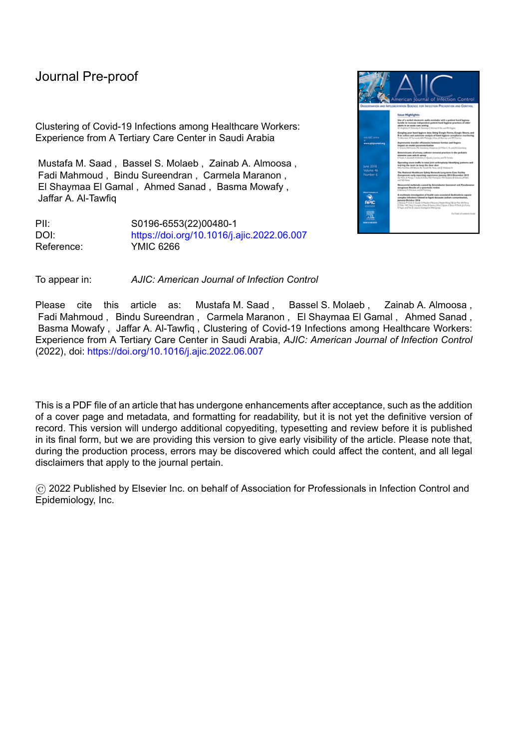Clustering of Covid-19 Infections among Healthcare Workers: Experience from A Tertiary Care Center in Saudi Arabia

Mustafa M. Saad , Bassel S. Molaeb , Zainab A. Almoosa , Fadi Mahmoud , Bindu Sureendran , Carmela Maranon , El Shaymaa El Gamal , Ahmed Sanad , Basma Mowafy , Jaffar A. Al-Tawfiq

PII: S0196-6553(22)00480-1 DOI: <https://doi.org/10.1016/j.ajic.2022.06.007> Reference: YMIC 6266



To appear in: *AJIC: American Journal of Infection Control*

Please cite this article as: Mustafa M. Saad , Bassel S. Molaeb , Zainab A. Almoosa , Fadi Mahmoud , Bindu Sureendran , Carmela Maranon , El Shaymaa El Gamal , Ahmed Sanad , Basma Mowafy , Jaffar A. Al-Tawfiq , Clustering of Covid-19 Infections among Healthcare Workers: Experience from A Tertiary Care Center in Saudi Arabia, *AJIC: American Journal of Infection Control* (2022), doi: <https://doi.org/10.1016/j.ajic.2022.06.007>

This is a PDF file of an article that has undergone enhancements after acceptance, such as the addition of a cover page and metadata, and formatting for readability, but it is not yet the definitive version of record. This version will undergo additional copyediting, typesetting and review before it is published in its final form, but we are providing this version to give early visibility of the article. Please note that, during the production process, errors may be discovered which could affect the content, and all legal disclaimers that apply to the journal pertain.

© 2022 Published by Elsevier Inc. on behalf of Association for Professionals in Infection Control and Epidemiology, Inc.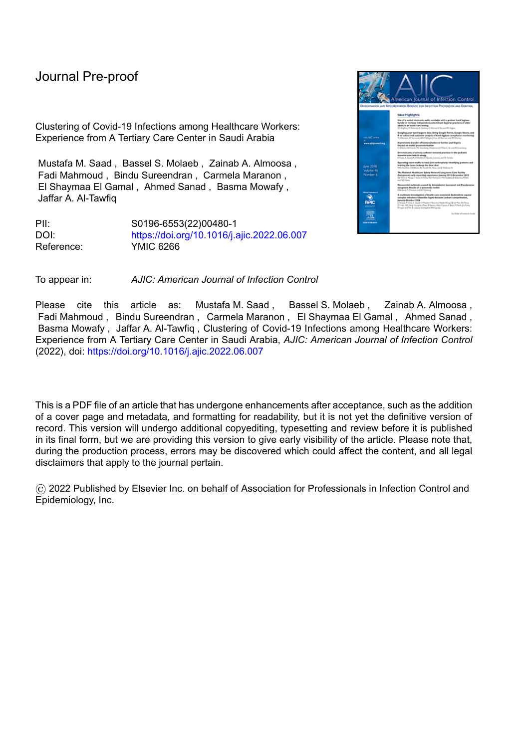Highlights:

Clustering of COVID-19 is frequent among healthcare workers.

l

- Hospital-provided shared accommodation and social gatherings were associated with clustering of infection.
- Caring for COVID-19 patients is not associated increased risk of infection when resources are available.
- Community exposures pose significant risks of infection to healthcare workers.

# Clustering of Covid-19 Infections among Healthcare Workers: Experience from A Tertiary Care Center in Saudi Arabia

Mustafa M. Saad<sup>1,2</sup>, Bassel S. Molaeb<sup>1</sup>, Zainab A. Almoosa<sup>3,4</sup>, Fadi Mahmoud<sup>1</sup>, Bindu Sureendran<sup>1</sup>, Carmela Maranon<sup>1</sup>, El Shaymaa El Gamal<sup>1</sup>, Ahmed Sanad<sup>1</sup>, Basma Mowafy<sup>1</sup> and Jaffar A. Al-Tawfiq<sup>5,6,7</sup>

1 Department of Infection Prevention and Control, Almoosa Specialist Hospital, Al-Ahsa, Saudi Arabia.

2 Section of Infectious Diseases, Department of Internal Medicine, Almoosa Specialist Hospital, Al-Ahsa, Saudi Arabia

3 Division of Infectious Diseases, Department of Pediatrics, Almoosa Specialist Hospital, Al-Ahsa, Saudi Arabia.

4 Department of Academic Affairs, Almoosa Specialist Hospital, Al-Ahsa, Saudi Arabia

5 Infectious Disease Unit, Specialty Internal Medicine, Johns Hopkins Aramco Healthcare, Dhahran, Saudi Arabia

6 Infectious Disease Division, Department of Medicine, Indiana University School of Medicine, Indianapolis, IN, USA

7 Infectious Disease Division, Department of Medicine, Johns Hopkins University, Baltimore, MD, USA

Conflicts of interest:

All authors declare that they have no conflicts of interest.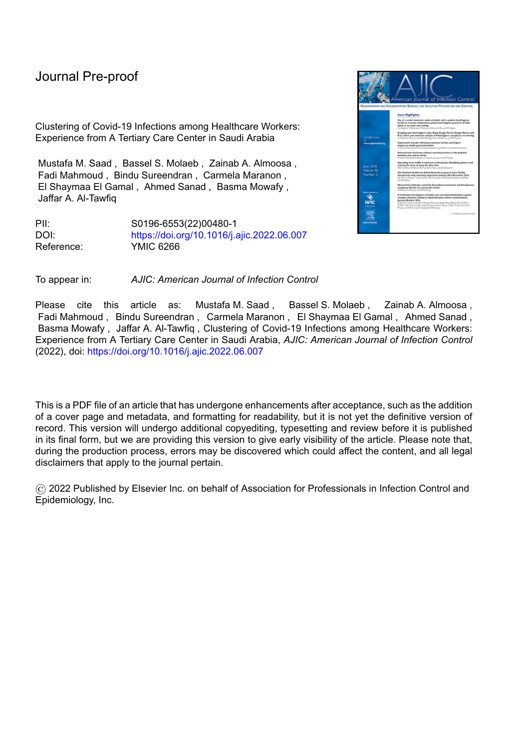l

**Abstract**

#### Introduction

Coronavirus infectious disease 2019 (COVID-19) had a significant impact on healthcare workers (HCWs) worldwide. Understanding the dynamics of infection transmission is important to develop strategies to prevent its spread.

### Methods

A retrospective study of a cohort of HCWs with COVID-19 from a single tertiary care hospital during the first wave of the pandemic. Epidemiological investigations and identification of clusters of infection were done prospectively.

#### **Results**



A total of 326 HCWs had COVID-19 based on positive polymerase chain reaction tests for SARS-CoV-2. Ten clusters of infection were identified; nine clusters had HCWs as the index cases while one cluster had a patient as the index case. The largest cluster involved 15 transmissions, and one cluster included a secondary transmission. Sharing accommodation and social gatherings were the commonest epidemiological links. The majority of infected HCWs had mild infections, 23 (6%) required hospital admission and 3 (1%) required intensive care; all fully recovered. Majority of infections (80%) were community-acquired. Living in shared accommodation was associated with COVID-19 (120/690 versus 206/1610, P value = 0.01) while working in COVID-19 designated wards/units was not associated with COVID-19 (52/297 versus  $274/2003$ , p value = 0.13).

**Conclusions** 

Clustering of COVID-19 was common among HCWs and related to shared accommodation and social gatherings, infection was of mild severity, and was not associated with caring for COVID-19 patients.

**Key words**: COVID-19; SARS CoV2; Healthcare workers; Cluster; Hospital-acquired.

**Introduction:**

A novel coronavirus was first identified in Wuhan, China in January, 2020, after investigating a cluster of

pneumonia due to unknown etiology. The virus was named as Severe Acute Respiratory Syndrome

Coronavirus 2 (SARS CoV-2) and the disease was named as the Coronavirus Infectious Disease 2019

(COVID-19). The WHO declared it a pandemic on March 11, 2020 (1). As of April 13, 2022, the WHO has

reported more than 499 million infections globally with more than 6 million deaths (2).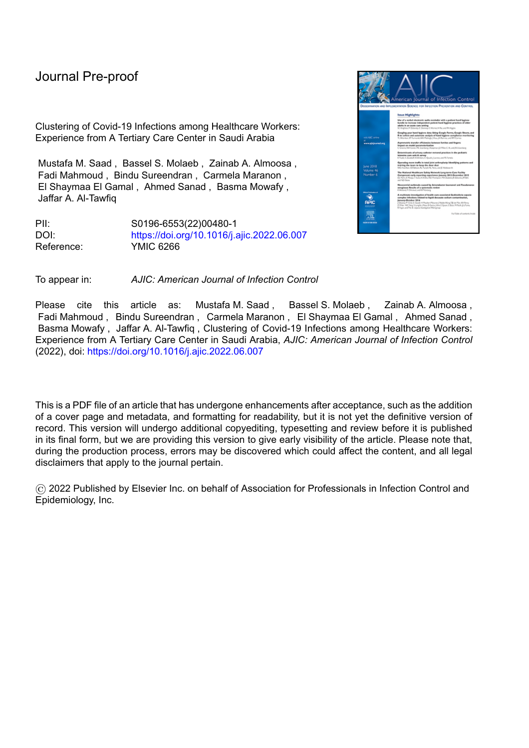l

Healthcare workers (HCWs) were identified early in the pandemic to be at higher risk of contracting COVID-19 infection (3) (4). Protection of HCWs from being infected during pandemics is very important not only to preserve their lives, but also because they are the most important asset to combat pandemics and to sustain healthcare systems. Therefore, measures and tools to protect HCWs from getting infected should be identified and implemented early in any pandemic. Furthermore, the dynamics of infection transmission should be identified and potential sources of outbreaks among HCWs should be recognized and mitigated.

The first case of COVID-19 was reported in Saudi Arabia in March 2020 in a patient in Eastern Saudi Arabia (5). Subsequently, the country took several steps to mitigate the risk of infection including quarantines, curfew, and suspension of international flights (6). The current study aims to shed light on the causes, frequency, and magnitude of clustering of infection among HCWs in healthcare facilities and to report the experience from a center where a significant number of HCWs live in shared accommodations.

#### **Methods:**

This is a retrospective study conducted in Almoosa Specialist Hospital (ASH) during the first wave of COVID-19 pandemic that spanned the period from April 1, 2020, to September 30, 2020. All healthcare workers (HCWs) who had SARS-CoV-2 infection diagnosed by a positive real time polymerase chain reaction (PCR) test from a nasopharyngeal swab were included in the study. RT-PCR for SARS-CoV-2 was done as described previously (5). Data were retrieved from the patients' medical records and the infection control files and included patients' demographics, comorbid conditions, obesity, type of infection, hospital admission, course of infection, outcomes, and residual symptoms. All confirmed cases were investigated immediately in real time by the infection control team with special attention to the determination of the source of acquisition (community versus hospital-acquired), chronology of cases,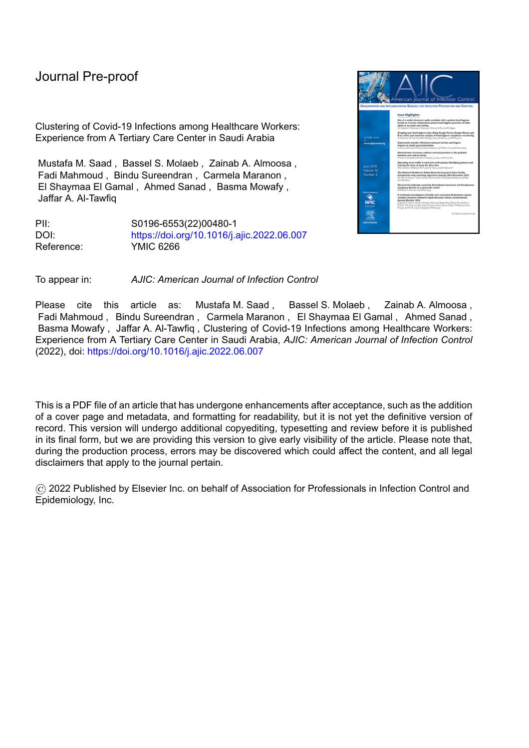l

and potential exposures to other infected patients, staff, friends, and family members. All infected HCWs were followed until their clinical conditions improved and they returned to work after recovery. A final follow up phone call was made to all infected HCWs to detect the presence of persistent symptoms up to 10 weeks after the infection was diagnosed.

A cluster was defined as the occurrence of 2 or more COVID-19 infections in HCWs or patients after exposure to one common source. Clusters of infection were identified based on the epidemiological investigation of each case that was done soon after the diagnosis was confirmed. Timeline depiction graphs were used each time a cluster was suspected. The cluster index case was identified based on the date of onset of symptoms not on the date of diagnosis. Excel sheets were developed and included all positive COVID-19 cases whether patients or staff and were updated on daily basis. Contact tracing was done for each infected patient or HCW. All individuals (patients or HCWs) who were determined to have had unprotected exposures to any newly diagnosed COVID-19 case underwent further testing by PCR whether symptoms were present or not. Pertinent exposures within the hospital and in the community were assessed based on the presence of a previously identified positive case, the type of exposure to that case, whether the exposure was protected or unprotected, and the duration and location of the exposure. HCWs were considered to have hospital-acquired infections if they had a known unprotected exposure to a patient, or if they worked in a high-risk area where COVID-19 patients were likely to be encountered even without a known hospital source exposure but in the absence of another known community exposure. Community-acquired infections were considered: 1) if the HCW employee had a known exposure outside the hospital, 2) if exposure to infected colleagues occurred outside workrelated activities, and 3) in those without known exposures and who worked in areas where exposures to COVID-19 infected patients were not likely.

ASH represents a unique healthcare system where the 2300 employees come from thirty different countries in addition to Saudi Arabia, and 690 (30%) live in hospital-provided shared accommodations;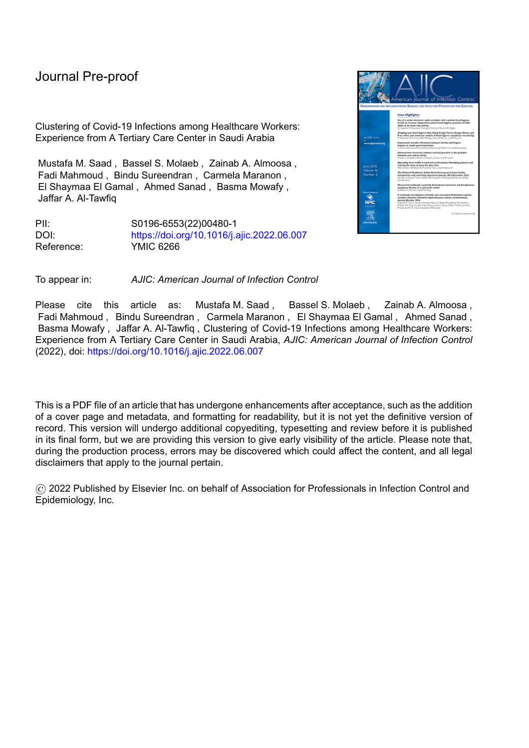l

the latter creates additional challenges in controlling the spread of SARS-CoV-2 infection. Measures that were taken to mitigate the risk of infection to HCWs included dedicating medical wards and an intensive care unit with 20 bed capacity to serve COVID-19 patients, increase the emergency room capacity and provide areas for triaging of patients with respiratory symptoms, provide and maintain enough supplies of all required personal protective equipment (PPE) including the N95 respirators, educate and train staff on the proper use of PPEs, do N95 respirator fit-testing for all staff who dealt with COVID-19 infected/potentially infected patients, reallocation of staff in shared accommodations to have all staff from the same unit/department in the same accommodation if they live in shared accommodation to prevent inter-departmental spread of infection, allow employees to work from home when possible, limit work-related and social gatherings inside and outside the hospital, conduct only virtual meetings and activities, and apply universal masking in all hospital premises. In addition, and in order to deal with infected and possibly infected HCWs from shared accommodations, HCWs with fever and/or respiratory symptoms were isolated in a special building with a thirty-bed capacity designated for those with suspected infection only, and when confirmed, they were moved to a 64-bed isolation building that was designated for infected HCWs with mild illnesses who otherwise didn't require medical care. Finally, a 35-bed field hospital was created to provide care for infected HCWs and patients who only required minimal supplemental oxygen (up to 3 liters) and limited medical care, and was also used as a stepdown for staff who clinically improved but continued to require oxygen. Figure 1 provides the dynamic flow of infected HCWs in the different COVID-19 allocated premises.

ASH had a total of 200 beds including 74 intensive care beds. The infection control program consisted of a director, five infection control practitioners, one employee-health clinic physician and one nurse. ASH facility adheres to local and international standards of care and has received accreditation and reaccreditation from the Joint Commission International (JCI), Saudi Central Board for Accreditation of Healthcare Institutions (CBAHI), and the College of American Pathologists (CAP). During the study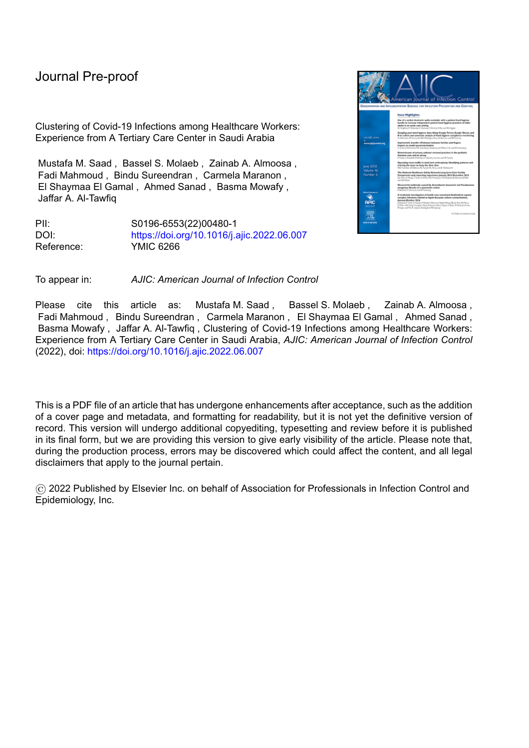period, a total of 2524 cases with laboratory confirmed COVID-19 infection were diagnosed in our hospital; this includes infected HCWs and 764 cases that were admitted to our facilities.

l

Simple statistics were used in describing the findings of the study. A p value of 0.05 or less was considered statistically significant. The study was approved by the ASH IRB committee.

**Results:**

During the first wave of the pandemic, a total of 326 HCWs were diagnosed to have COVID-19 infection; this represented 14% of the total number of ASH employees. The majority were young and 266 (82%) were less than 40 years of age. Of the cases, 205 (63%) were non-Saudis and 185 (57%) were female. A minority (51, 16%) had one or more underlying comorbid conditions, 102 (31%) were obese, and 34 (10%) were smokers. The majority of employees had mild infections; 237 (73%) had upper respiratory infection (URI), 21 (6%) had fever or other mild symptoms, and 36 (11%) were asymptomatic. On the other hand, more serious infections developed in 32 (10%) patients; 29 (9%) had pneumonia and 3 (1%) developed adult respiratory distress syndrome (ARDS). Hospital admission was required in 23 patients (6%) with 3 (1%) requiring intensive care unit admission. The majority were admitted to the field hospital (146, 35%) or the designated isolation building (128, 31%), while 116 (28%) patients were isolated in their homes. All patients recovered and none died. Persistent symptoms were documented in 121 (37%) employees with persistent cough and residual respiratory symptoms being the most common reported symptoms (41, 13%). Finally, a total of 4235 sick leave days were given in total, with an average of 13 days per employee. Table 1 summarizes the clinical characteristics of all COVID-19 infected HCWs.

Epidemiological investigations of the COVID-19 infections among our HCWs showed that clustering of infections was frequently encountered; 55 infections (17%) were part of transmissions in clusters. Living in a shared accommodation was found to be associated with an increased risk of COVID-19 infection;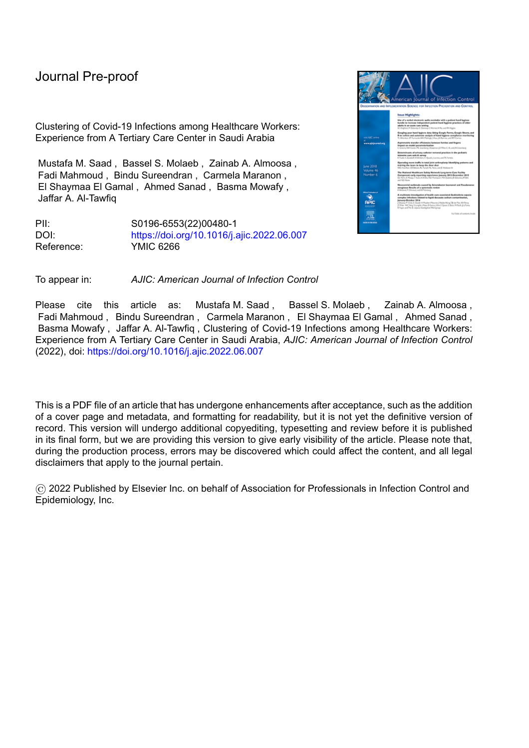l

120/690 HCWs living in shared accommodations had SARS-CoV-2 infection versus 206/1610 living in private accommodations (P value = 0.01). Numerically, HCW with direct patient contact (182, 56%) constituted the majority of infected HCWs, followed by supportive services (78, 24%), and those in administration (65, 20%). HCWs assigned to COVID-19 designated wards or units were not found to be at an increased risk of acquiring the infection versus other HCWs (52/279 versus 274/2003, p value = 0.13). Furthermore, infections among HCWs related to direct patient care were documented in 63 (19%) cases, and only 3 HCWs had known unprotected exposures to infected patients. Otherwise, documented exposures reported by HCWs were related to infected family members (89, 27%), flat mates (42, 13%), or friends/colleagues (35, 11%). Table 2 summarizes the epidemiological findings in our infected employees.

Figure 2 illustrates the chronological order of clusters that were identified among our cohort of infected HCWs. A total of 10 clusters were identified; one with a patient as the index case and was associated with direct patient care, while 9 had a HCW as the index case. The largest cluster was associated with 15 transmissions among HCWs. One cluster was associated with secondary transmission (infection indirectly related to the index case) and involved one HCW. The sources of transmissions in these clusters were found to be related to sharing of accommodation with the index case followed by social gatherings where extended unprotected exposures occurred with the index case in events during food sharing.

Figures 3A and 3B demonstrate the sources of infection among our cohort of infected HCWs. A minority of the infections were confirmed hospital-acquired (1.3%), while possibly hospital-acquired with unknown exposure was observed in 18%, but the majority (80.7%) were community-acquired infections.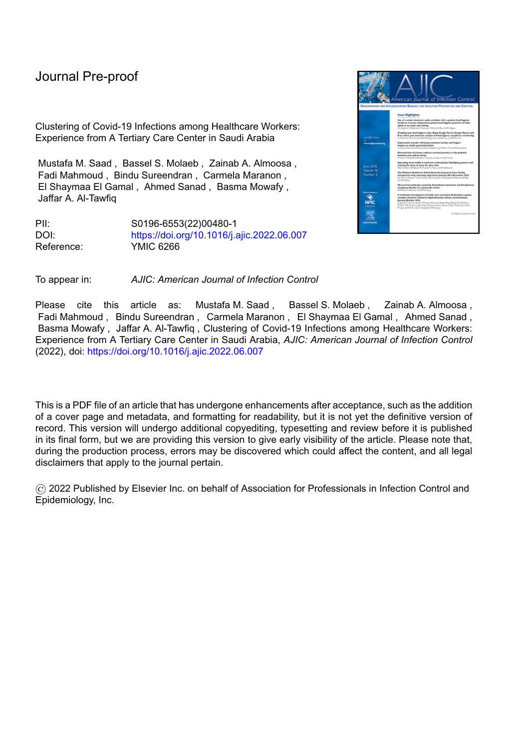l

#### **Discussion:**

The current study includes a sizable number of infected healthcare workers from one hospital during the first wave of the COVID-19 pandemic. Although the study is retrospective, the epidemiological investigations were done in real time given the urgent need to determine the source of each infection in our HCWs to prevent large outbreaks and preserve our working force. In addition, we had the opportunity to follow all infected HCWs for extended periods of time with regards to their persistent symptoms and outcomes.

Our study has several significant findings that need to be highlighted. First, clustering of infections was not infrequent in our cohort of infected HCWs. A total of 10 clusters were identified with the largest involving 15 transmissions, nine had a HCW as the index case, and secondary transmission was identified in one cluster. The majority of clusters were among HCWs living in shared accommodation. Furthermore, and despite of the restrictions on social gatherings in the workplace, such events continued to occur in the accommodations where restrictions were difficult to implement, and this provided fuel to the clusters. The latter highlights the need to do real time epidemiological investigations of all new cases during pandemics; this will serve the purpose of accurate identification of cases early to prevent unidentified transmissions which might lead to larger outbreaks among HCWs with significant impact on their wellbeing and the potential negative impact on the workforce that is essential to maintain during pandemics. Similarly, a frequent but limited number of clustering of infections among HCWs was reported by Ariza-Heredia el al (7) that indicated the occurrence of three clusters involving 2, 4 and 7 HCWs from one cancer hospital. These clustering may represent a type of a super-spreading events; such events were well-described in previous coronaviruses including SARS-CoV-2. (8) (9). The significance of clustering of infection in HCWs calls for special attention in all settings but becomes more challenging in settings where HCWs share accommodation as in our situation. The latter deserves careful planning and mitigation strategies to prevent the loss of the essential HCW forces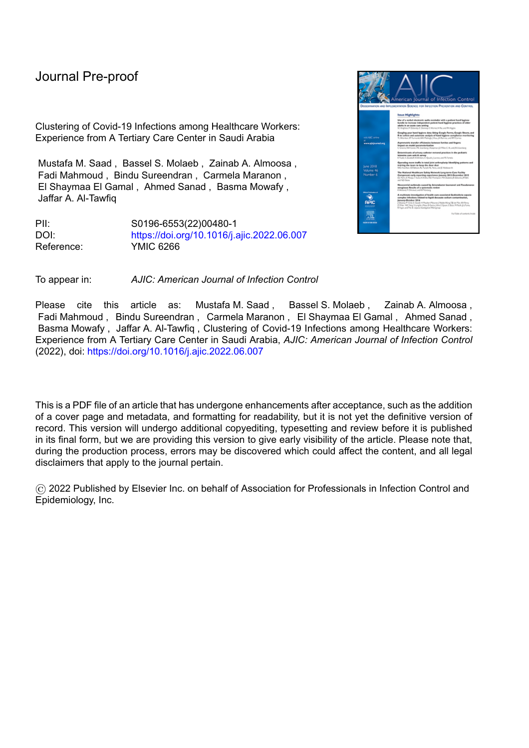l

during pandemics. Several studies from Saudi Arabia reported the increased frequency of COVID-19 among non-Saudi HCWs with coworkers being a common source of spread of infection especially in the setting of hospital-provided accommodations (10) (11) (12). This finding is probably unique to countries with large numbers of expatriate populations working in healthcare settings and surely creates challenges for infection prevention in these settings. Further studies to address this problem are warranted.

Second, the infections in our cohort of young patients with COVID-19 tended to be mild in severity with only 6% requiring hospital admission and 1% requiring ICU admission. None required invasive ventilation and no mortality occurred. Although this is probably related to the younger age among our infected staff, but the effect from early identification and rapid management of more severe infections should not be underestimated. Moreover, the creation of the field hospital with the capability of supporting those with milder infections who required low oxygen supplementation had a dual effect; it relieved the pressure on the acute hospital beds, and it provided those who were not sick enough to be admitted to the hospital access to effective therapies (oxygen and steroids as indicated); the latter probably had also impacted the outcome in a positive way. On the other hand, despite the good outcomes, the burden on the hospital's work force was not simple given that the loss of workdays for each infected HCW was high (average 13 days); the burden was even more significant if we account for staff who were tested but were negative and were given sick-leave days until the test results were made available (data not shown). Asymptomatic infection was documented in 11% of HCWs who were mostly diagnosed as part of contact tracing and testing of those with unprotected exposures. Probably this percentage is less than what has been reported in some studies but in our cohort even mild symptoms were reported and that could have contributed to the smaller percentage of asymptomatic infections. Similar to our findings, Al Maskari et al (13), Mani et al (14), and Wong et al (15) reported no mortality in their cohorts of 204, 185 and 88 infected HCWs with average ages of 36, 40 and 35 years, respectively. An additional study from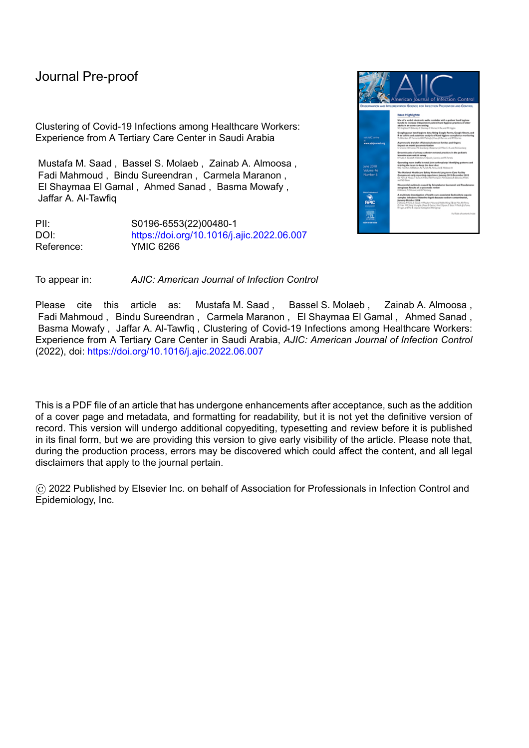## Journal

l

Saudi Arabia showed a very low mortality rate of 0.1% among HCWs (12). On the other hand, more severe outcomes were described in large cohorts of infected HCWs; the CDC COVID-19 working group (16) in their study of 9282 infected HCWs, reported higher hospitalization (9.7%), ICU admissions (4.9%) and mortality rates (0.6%) among all age groups included in the study. Zhan et al (4) also reported a mortality rate of 0.6% among 3387 infected HCWs early in the pandemic from China. In a meta-analysis done by Gholami et al (17) that included 28 studies, the overall hospitalization rate was 15.1% and the mortality rate was 1.5% among HCWs infected with the COVID-19 infection. Finally, in another metaanalysis done by Gomez-Ochoa et al (18) that included 97 studies published in 2020, they reported severe complications in 5% and mortality in 0.5% of infected HCWs.

Third, the majority of infections (80%) among HCWs in our cohort were community acquired. The majority of HCWs (48%) did not have any known exposure, but when exposures were reported, they were likely to be related to infected household/flat mates and friends/colleagues. This underscores the importance of community exposures in HCWs during periods of pandemics and community-wide outbreaks. Therefore, measures to control community spread will also have a significant impact on infection prevention in HCWs. Similarly, other studies from Saudi Arabia during the first wave of COVID-19 showed 90.6% and 78% of cases among HCWs to be community acquired in origin (19) (11). In addition, working in wards/units designated for COVID-19 infected patients was not associated with an increased risk of acquiring COVID-19 infection. These studies highlight the importance of community exposures as a source of infection among HCWs, and also indirectly show that adherence to personal protective equipment (PPEs) seemed to be working well in preventing infections among HCWs if supplies were maintained. Nonetheless, designation of dedicated wards and units for COVID-19 infected patients made it easier to provide focused training and allocate resources to these areas. Similarly, Handal et al (20) in a seroprevalence study from Norway found no significant increase in COVID-19 infection in HCWs with high exposure to infected patients versus those with low exposure. On the other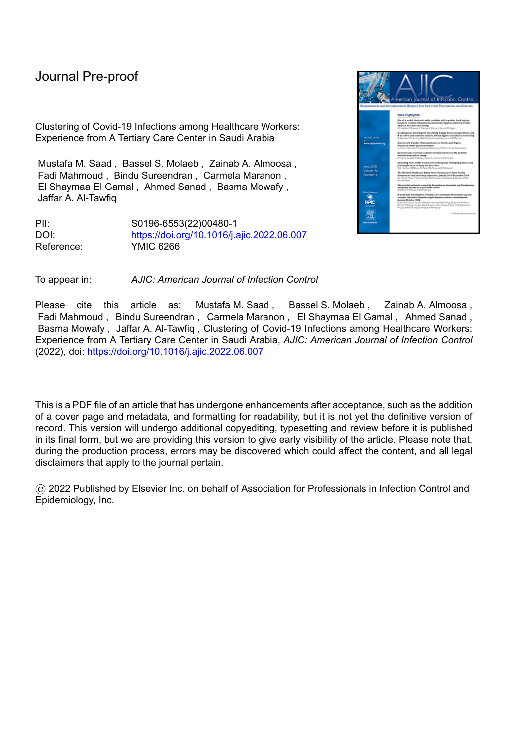l

hand, Sims et al (21) reported increased seropositivity among HCWs with direct exposure to COVID-19 patients, but when they accounted for wearing PPEs, the rate was significantly reduced in HCWs who wore N95 respirators. In another study by Nioi et al (3) who reported the Italian experience with COVID-19 infections among HCWs, shortages in PPE supplies especially in primary care settings were associated with increased risks of COVID-19 infections and deaths among physicians. Contrary to our results, Robles-Perez et al (22) and Iversen et al (23) conducted 2 large studies in Mexico and Denmark and reported higher infection rates among HCWs caring for COVID-19 infected patients, but the availability of and adherence to wearing PPEs were not reported in both studies since proper use of PPE would be a major determinant of infection in HCWs directly exposed to COVID-19 infected patients. Furthermore, in a study from Saudi Arabia, seroprevalence was higher among HCWs who worked in designated COVID-19 hospitals than non-COVID-19 hospitals (24).

Our study has several limitations inherent to its design. This is a retrospective study with the possibility of having missed or incomplete data that we couldn't account for. Although contact tracing was done for each positive case with additional testing of all individuals who had unprotected exposures, data of negative test results was not stored in a way that can be linked to the individual cases in the clusters to give a complete picture of the extent of testing that was done after each positive case. Moreover, serological testing was not carried out as part of the investigation of cases and clusters; if done, this could have improved the detection of additional cases and probably could have given more accurate estimates of the sizes of clusters. In addition, although the clustering of cases and all possible links were carefully investigated in real time, there may be some links or exposures which were not identified and that could have lead to an inaccurate representation of the clusters.

In summary, clustering of COVID-19 infections among HCWs is common and, in our cohort, was found to be related to shared accommodation and social gatherings. COVID-19 infection in our young cohort of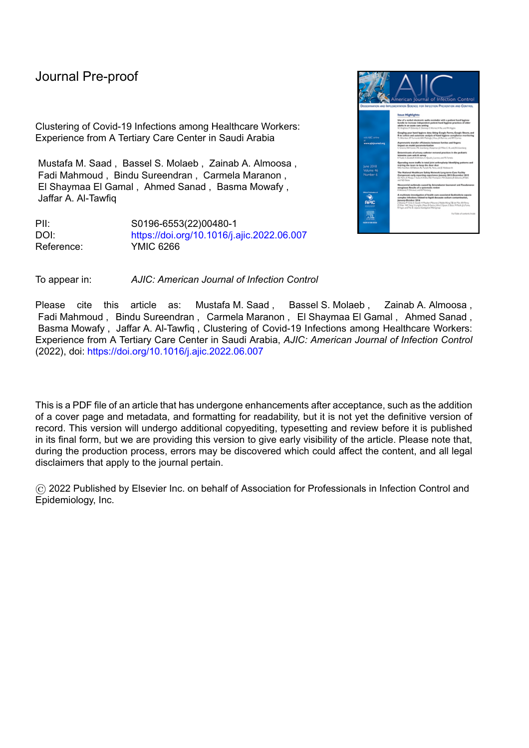l

| Admission/isolation location (total number = $416$ )*: |                |      |
|--------------------------------------------------------|----------------|------|
| Home isolation                                         | 116            | 28%  |
| Admission to the field hospital                        | 146            | 35%  |
| Isolation in designated accommodation                  | 128            | 31%  |
| Hospital admission                                     | 23             | 6%   |
| ICU admission                                          | 3              | 1%   |
| Outcome:                                               |                |      |
| Recovery                                               | 205            | 63%  |
| Persistence of symptoms                                | 121            | 37%  |
| Cough/other respiratory symptoms                       | 41             | 13%  |
| Aches/headache                                         | 34             | 10%  |
| Loss of smell/taste                                    | 14             | 4.3% |
| Fatigue                                                | 12             | 3.7% |
| Diarrhea/other GI symptoms                             |                | 1.8% |
| Others                                                 | $22\,$         | 6.7% |
| Death                                                  | $\overline{0}$ | 0%   |
| Sick-leave days granted                                |                |      |
| 10 days                                                | 95             | 29%  |
| $11-15$ days                                           | 182            | 56%  |
| 16-20 days                                             | 31             | 9.5% |
| 21-30 days                                             | 15             | 5%   |
| 31-45 days                                             | 2              | 0.6% |
| 60 days                                                | 1              | 0.3% |

\*Many patients (number = 90) were admitted to different locations during their illnesses.